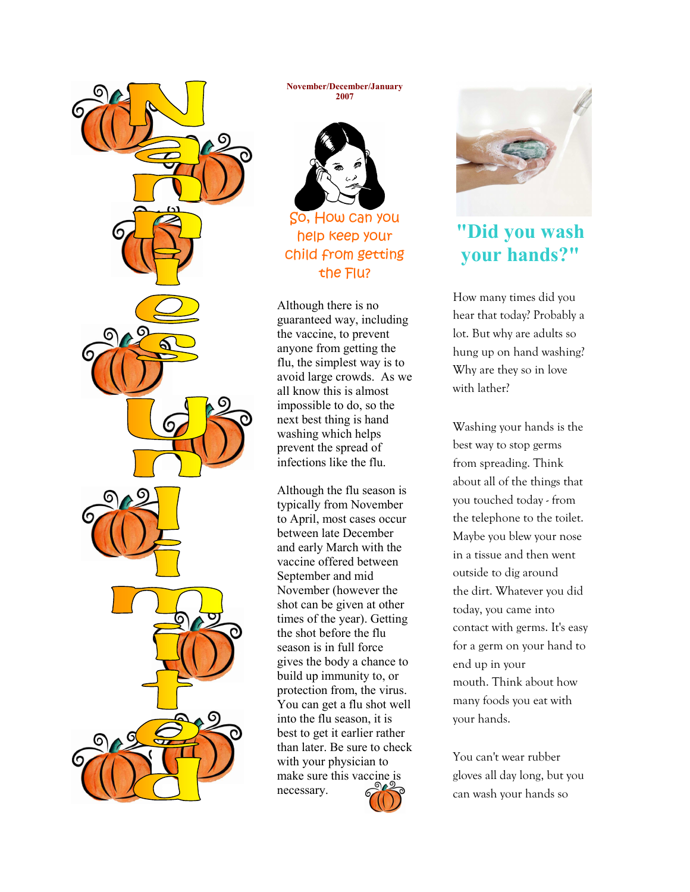

November/December/January 2007



So, How can you help keep your child from getting the Flu?

Although there is no guaranteed way, including the vaccine, to prevent anyone from getting the flu, the simplest way is to avoid large crowds. As we all know this is almost impossible to do, so the next best thing is hand washing which helps prevent the spread of infections like the flu.

Although the flu season is typically from November to April, most cases occur between late December and early March with the vaccine offered between September and mid November (however the shot can be given at other times of the year). Getting the shot before the flu season is in full force gives the body a chance to build up immunity to, or protection from, the virus. You can get a flu shot well into the flu season, it is best to get it earlier rather than later. Be sure to check with your physician to make sure this vaccine is necessary.



# "Did you wash your hands?"

How many times did you hear that today? Probably a lot. But why are adults so hung up on hand washing? Why are they so in love with lather?

Washing your hands is the best way to stop germs from spreading. Think about all of the things that you touched today - from the telephone to the toilet. Maybe you blew your nose in a tissue and then went outside to dig around the dirt. Whatever you did today, you came into contact with germs. It's easy for a germ on your hand to end up in your mouth. Think about how many foods you eat with your hands.

You can't wear rubber gloves all day long, but you can wash your hands so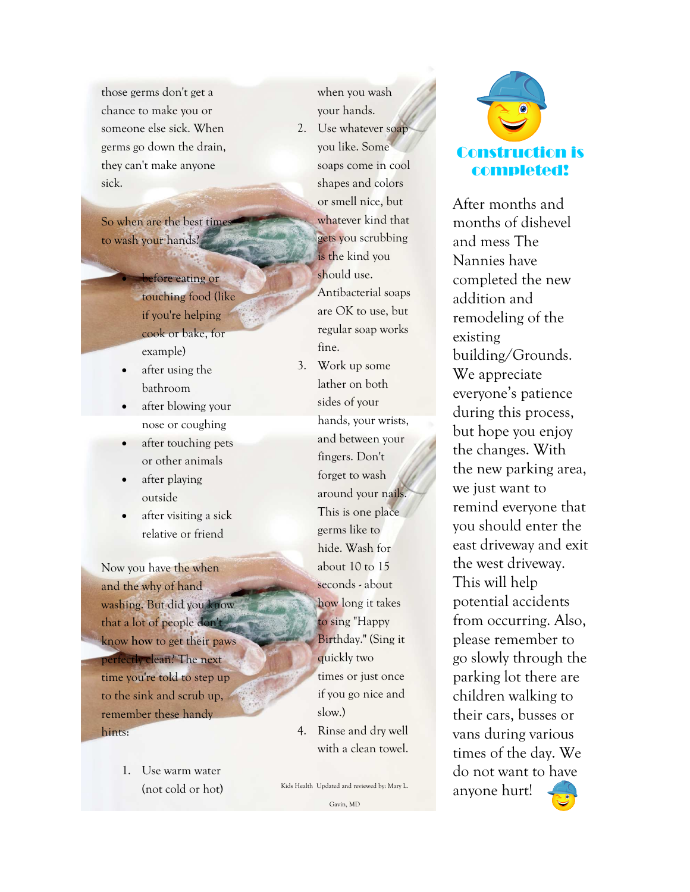those germs don't get a chance to make you or someone else sick. When germs go down the drain, they can't make anyone sick.

So when are the best times to wash your hands?

- refore eating or touching food (like if you're helping cook or bake, for example)
- after using the bathroom
- after blowing your nose or coughing
- after touching pets or other animals
- after playing outside
- after visiting a sick relative or friend

Now you have the when and the why of hand washing. But did you know that a lot of people don't know how to get their paws perfectly clean? The next time you're told to step up to the sink and scrub up, remember these handy hints:

> 1. Use warm water (not cold or hot)

when you wash your hands. 2. Use whatever soap you like. Some soaps come in cool shapes and colors or smell nice, but whatever kind that gets you scrubbing is the kind you should use. Antibacterial soaps are OK to use, but regular soap works fine.

- 3. Work up some lather on both sides of your hands, your wrists, and between your fingers. Don't forget to wash around your nails. This is one place germs like to hide. Wash for about 10 to 15 seconds - about how long it takes to sing "Happy Birthday." (Sing it quickly two times or just once if you go nice and slow.) 4. Rinse and dry well
- with a clean towel.





After months and months of dishevel and mess The Nannies have completed the new addition and remodeling of the existing building/Grounds. We appreciate everyone's patience during this process, but hope you enjoy the changes. With the new parking area, we just want to remind everyone that you should enter the east driveway and exit the west driveway. This will help potential accidents from occurring. Also, please remember to go slowly through the parking lot there are children walking to their cars, busses or vans during various times of the day. We do not want to have anyone hurt!

Gavin, MD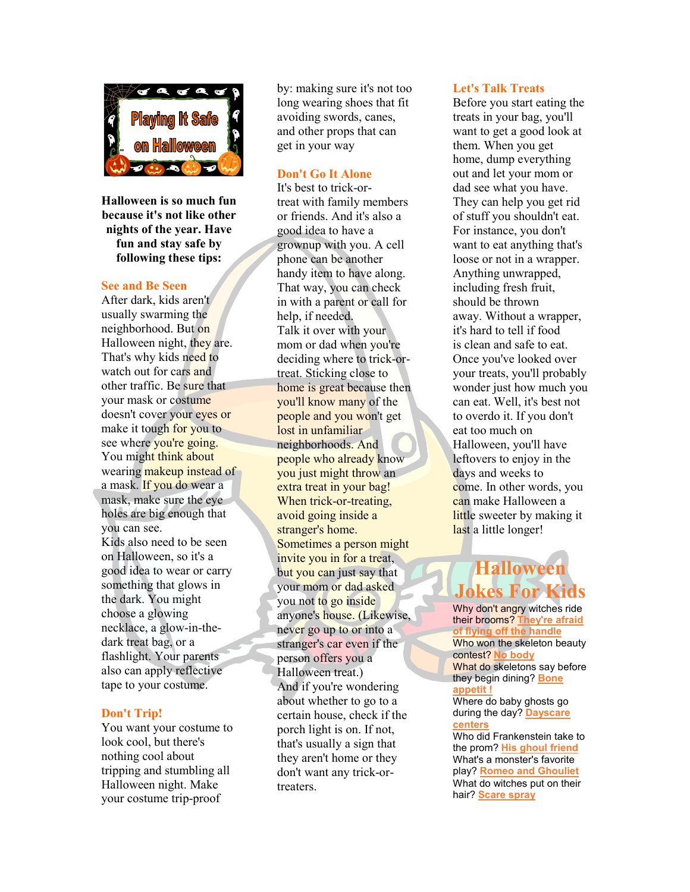

Halloween is so much fun because it's not like other nights of the year. Have fun and stay safe by following these tips:

#### See and Be Seen

After dark, kids aren't usually swarming the neighborhood. But on Halloween night, they are. That's why kids need to watch out for cars and other traffic. Be sure that your mask or costume doesn't cover your eyes or make it tough for you to see where you're going. You might think about wearing makeup instead of a mask. If you do wear a mask, make sure the eye holes are big enough that you can see. Kids also need to be seen on Halloween, so it's a good idea to wear or carry something that glows in the dark. You might choose a glowing necklace, a glow-in-thedark treat bag, or a flashlight. Your parents also can apply reflective tape to your costume.

#### Don't Trip!

You want your costume to look cool, but there's nothing cool about tripping and stumbling all Halloween night. Make your costume trip-proof

by: making sure it's not too long wearing shoes that fit avoiding swords, canes, and other props that can get in your way

#### Don't Go It Alone

It's best to trick-ortreat with family members or friends. And it's also a good idea to have a grownup with you. A cell phone can be another handy item to have along. That way, you can check in with a parent or call for help, if needed. Talk it over with your mom or dad when you're deciding where to trick-ortreat. Sticking close to home is great because then you'll know many of the people and you won't get lost in unfamiliar neighborhoods. And people who already know you just might throw an extra treat in your bag! When trick-or-treating, avoid going inside a stranger's home. Sometimes a person might invite you in for a treat, but you can just say that your mom or dad asked you not to go inside anyone's house. (Likewise, never go up to or into a stranger's car even if the person offers you a Halloween treat.) And if you're wondering about whether to go to a certain house, check if the porch light is on. If not, that's usually a sign that they aren't home or they don't want any trick-ortreaters.

#### Let's Talk Treats

Before you start eating the treats in your bag, you'll want to get a good look at them. When you get home, dump everything out and let your mom or dad see what you have. They can help you get rid of stuff you shouldn't eat. For instance, you don't want to eat anything that's loose or not in a wrapper. Anything unwrapped, including fresh fruit, should be thrown away. Without a wrapper, it's hard to tell if food is clean and safe to eat. Once you've looked over your treats, you'll probably wonder just how much you can eat. Well, it's best not to overdo it. If you don't eat too much on Halloween, you'll have leftovers to enjoy in the days and weeks to come. In other words, you can make Halloween a little sweeter by making it last a little longer!

# Halloween Jokes For Kids

Why don't angry witches ride their brooms? They're afraid of flying off the handle Who won the skeleton beauty contest? No body What do skeletons say before they begin dining? Bone appetit ! Where do baby ghosts go during the day? Dayscare centers

Who did Frankenstein take to the prom? His ghoul friend What's a monster's favorite play? Romeo and Ghouliet What do witches put on their hair? Scare spray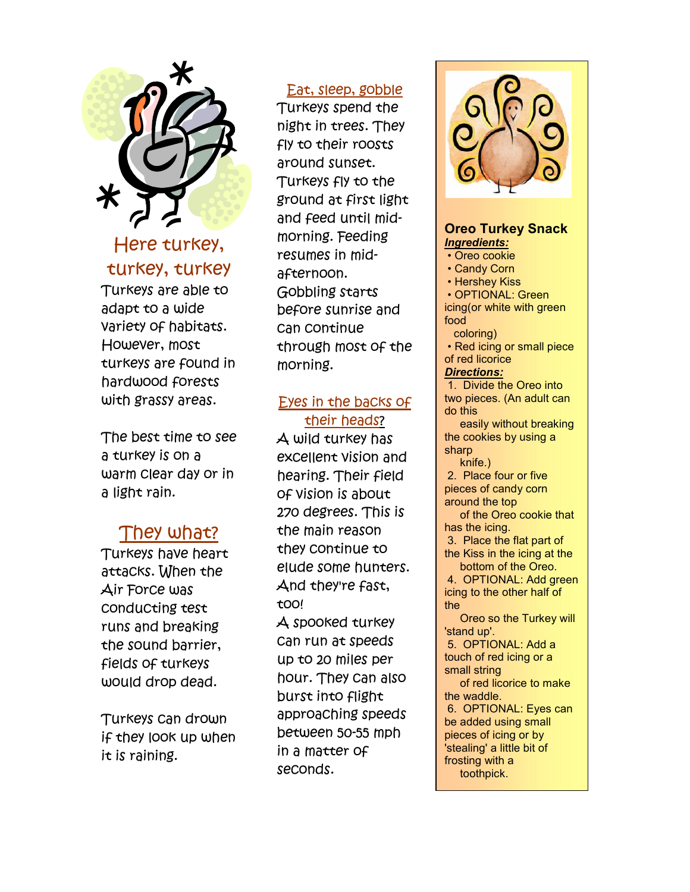

## Here turkey, turkey, turkey

Turkeys are able to adapt to a wide variety of habitats. However, most turkeys are found in hardwood forests with grassy areas.

The best time to see a turkey is on a warm clear day or in a light rain.

# They what?

Turkeys have heart attacks. When the Air Force was conducting test runs and breaking the sound barrier, fields of turkeys would drop dead.

Turkeys can drown if they look up when it is raining.

## Eat, sleep, gobble

Turkeys spend the night in trees. They fly to their roosts around sunset. Turkeys fly to the ground at first light and feed until midmorning. Feeding resumes in midafternoon. Gobbling starts before sunrise and can continue through most of the morning.

## Eyes in the backs of their heads?

A wild turkey has excellent vision and hearing. Their field of vision is about 270 degrees. This is the main reason they continue to elude some hunters. And they're fast, too! A spooked turkey can run at speeds up to 20 miles per hour. They can also burst into flight approaching speeds between 50-55 mph in a matter of seconds.



### Oreo Turkey Snack Ingredients:

- Oreo cookie
- Candy Corn
- Hershey Kiss
- OPTIONAL: Green

icing(or white with green food

coloring)

 • Red icing or small piece of red licorice Directions:

 1. Divide the Oreo into two pieces. (An adult can do this

 easily without breaking the cookies by using a sharp

knife.)

 2. Place four or five pieces of candy corn around the top

 of the Oreo cookie that has the icing.

 3. Place the flat part of the Kiss in the icing at the bottom of the Oreo.

 4. OPTIONAL: Add green icing to the other half of the

 Oreo so the Turkey will 'stand up'.

 5. OPTIONAL: Add a touch of red icing or a small string

 of red licorice to make the waddle.

 6. OPTIONAL: Eyes can be added using small pieces of icing or by 'stealing' a little bit of frosting with a toothpick.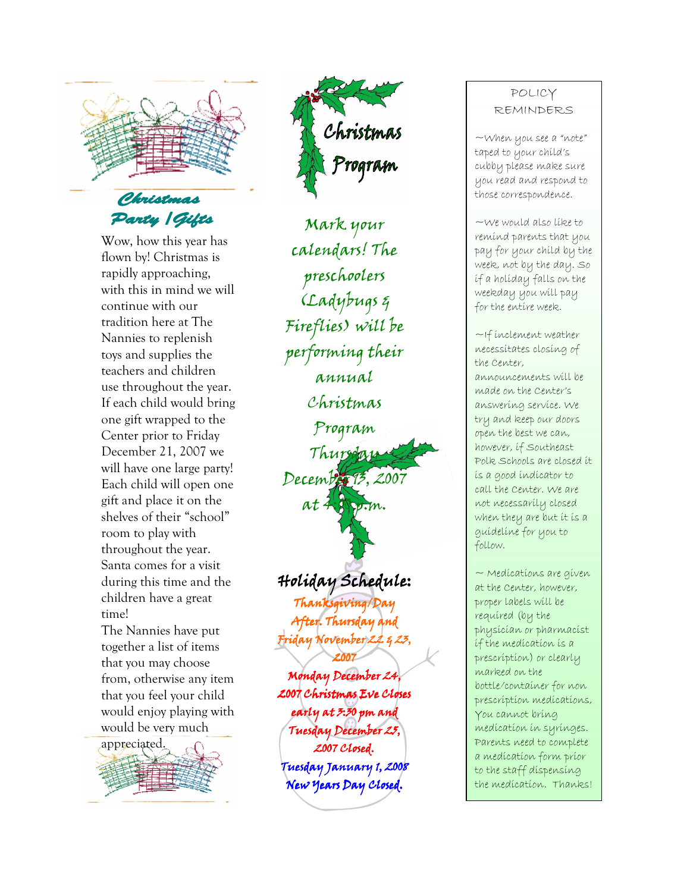

Wow, how this year has flown by! Christmas is rapidly approaching, with this in mind we will continue with our tradition here at The Nannies to replenish toys and supplies the teachers and children use throughout the year. If each child would bring one gift wrapped to the Center prior to Friday December 21, 2007 we will have one large party! Each child will open one gift and place it on the shelves of their "school" room to play with throughout the year. Santa comes for a visit during this time and the children have a great time!

The Nannies have put together a list of items that you may choose from, otherwise any item that you feel your child would enjoy playing with would be very much





Mark your calendars! The preschoolers (Ladybugs & Fireflies) will be performing their annual Christmas Program Thursday December 13, 2007  $at$   $4:00$   $m.$ Holiday Schedule: Holiday Thanksgiving/Day After. Thursday and Friday November 22 & 23, 2007 Monday December 24, 2007 Christmas Eve Closes early at 3:30 pm and

Tuesday December 25, 2007 Closed. Tuesday January 1, 2008 New Years Day Closed.

### POLICY REMINDERS

~When you see a "note" taped to your child's cubby please make sure you read and respond to those correspondence.

~We would also like to remind parents that you pay for your child by the week, not by the day. So if a holiday falls on the weekday you will pay for the entire week.

 $\sim$ If inclement weather necessitates closing of the Center, announcements will be made on the Center's answering service. We try and keep our doors open the best we can, however, if Southeast Polk Schools are closed it is a good indicator to call the Center. We are not necessarily closed when they are but it is a guideline for you to follow.

 $\sim$  Medications are given at the Center, however, proper labels will be required (by the physician or pharmacist if the medication is a prescription) or clearly marked on the bottle/container for non prescription medications, You cannot bring medication in syringes. Parents need to complete a medication form prior to the staff dispensing the medication. Thanks!